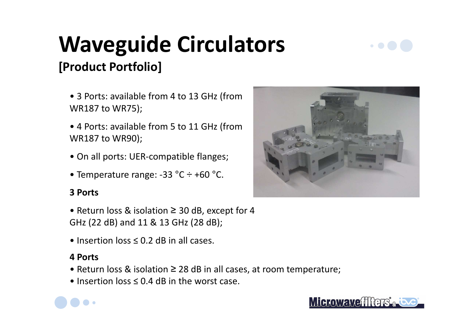## **Waveguide Circulators[Product Portfolio]**

- 3 Ports: available from 4 to 13 GHz (from WR187 to WR75);
- 4 Ports: available from 5 to 11 GHz (from WR187 to WR90);
- On all ports: UER-compatible flanges;
- Temperature range: -33 °C ÷ +60 °C.

#### **3 Ports**

• Return loss & isolation ≥ 30 dB, except for 4 GHz (22 dB) and 11 & 13 GHz (28 dB);

• Insertion loss ≤ 0.2 dB in all cases.

#### **4 Ports**

- Return loss & isolation ≥ 28 dB in all cases, at room temperature;
- Insertion loss  $\leq 0.4$  dB in the worst case.



Microwavefffers<sup>\*</sup>



 $\bullet$  0  $\bullet$  1